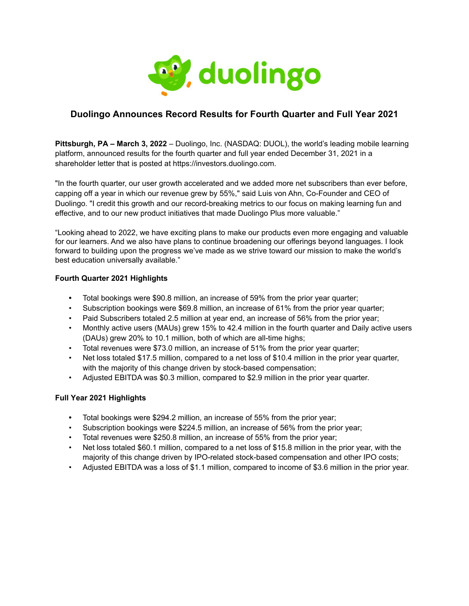

## **Duolingo Announces Record Results for Fourth Quarter and Full Year 2021**

**Pittsburgh, PA – March 3, 2022** – Duolingo, Inc. (NASDAQ: DUOL), the world's leading mobile learning platform, announced results for the fourth quarter and full year ended December 31, 2021 in a shareholder letter that is posted at https://investors.duolingo.com.

"In the fourth quarter, our user growth accelerated and we added more net subscribers than ever before, capping off a year in which our revenue grew by 55%," said Luis von Ahn, Co-Founder and CEO of Duolingo. "I credit this growth and our record-breaking metrics to our focus on making learning fun and effective, and to our new product initiatives that made Duolingo Plus more valuable."

"Looking ahead to 2022, we have exciting plans to make our products even more engaging and valuable for our learners. And we also have plans to continue broadening our offerings beyond languages. I look forward to building upon the progress we've made as we strive toward our mission to make the world's best education universally available."

### **Fourth Quarter 2021 Highlights**

- **•** Total bookings were \$90.8 million, an increase of 59% from the prior year quarter;
- Subscription bookings were \$69.8 million, an increase of 61% from the prior year quarter;
- Paid Subscribers totaled 2.5 million at year end, an increase of 56% from the prior year;
- Monthly active users (MAUs) grew 15% to 42.4 million in the fourth quarter and Daily active users (DAUs) grew 20% to 10.1 million, both of which are all-time highs;
- Total revenues were \$73.0 million, an increase of 51% from the prior year quarter;
- Net loss totaled \$17.5 million, compared to a net loss of \$10.4 million in the prior year quarter, with the majority of this change driven by stock-based compensation:
- Adjusted EBITDA was \$0.3 million, compared to \$2.9 million in the prior year quarter.

### **Full Year 2021 Highlights**

- **•** Total bookings were \$294.2 million, an increase of 55% from the prior year;
- Subscription bookings were \$224.5 million, an increase of 56% from the prior year;
- Total revenues were \$250.8 million, an increase of 55% from the prior year;
- Net loss totaled \$60.1 million, compared to a net loss of \$15.8 million in the prior year, with the majority of this change driven by IPO-related stock-based compensation and other IPO costs;
- Adjusted EBITDA was a loss of \$1.1 million, compared to income of \$3.6 million in the prior year.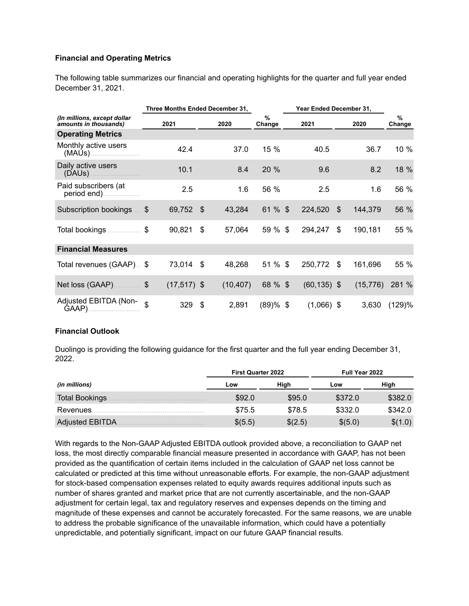### **Financial and Operating Metrics**

The following table summarizes our financial and operating highlights for the quarter and full year ended December 31, 2021.

| Three Months Ended December 31,                      |    |                |     |           |                         | Year Ended December 31, |                |    |           |             |  |
|------------------------------------------------------|----|----------------|-----|-----------|-------------------------|-------------------------|----------------|----|-----------|-------------|--|
| (In millions, except dollar<br>amounts in thousands) |    | 2021           |     | 2020      | $\frac{9}{6}$<br>Change |                         | 2021           |    | 2020      | %<br>Change |  |
| <b>Operating Metrics</b>                             |    |                |     |           |                         |                         |                |    |           |             |  |
| Monthly active users                                 |    | 42.4           |     | 37.0      | 15 %                    |                         | 40.5           |    | 36.7      | 10 %        |  |
| Daily active users                                   |    | 10.1           |     | 8.4       | 20 %                    |                         | 9.6            |    | 8.2       | 18 %        |  |
| Paid subscribers (at<br>period end)                  |    | 2.5            |     | 1.6       | 56 %                    |                         | 2.5            |    | 1.6       | 56 %        |  |
| Subscription bookings                                | \$ | 69,752         | -\$ | 43,284    | 61 % \$                 |                         | 224,520        | \$ | 144,379   | 56 %        |  |
| Total bookings                                       | \$ | 90,821         | \$  | 57,064    | 59 % \$                 |                         | 294,247        | \$ | 190,181   | 55 %        |  |
| <b>Financial Measures</b>                            |    |                |     |           |                         |                         |                |    |           |             |  |
| Total revenues (GAAP). \$                            |    | 73,014         | -\$ | 48,268    | 51 % \$                 |                         | 250,772        | \$ | 161,696   | 55 %        |  |
| Net loss (GAAP) \$                                   |    | $(17, 517)$ \$ |     | (10, 407) | 68 % \$                 |                         | $(60, 135)$ \$ |    | (15, 776) | 281 %       |  |
| Adjusted EBITDA (Non-<br>GAAP)                       | \$ | 329            | \$  | 2,891     | $(89)$ % \$             |                         | $(1,066)$ \$   |    | 3,630     | (129)%      |  |

#### **Financial Outlook**

Duolingo is providing the following guidance for the first quarter and the full year ending December 31, 2022.

|                        | <b>First Quarter 2022</b> |         | <b>Full Year 2022</b> |         |  |  |
|------------------------|---------------------------|---------|-----------------------|---------|--|--|
| (in millions)          | Low                       | High    | Low                   | High    |  |  |
| Total Bookings.        | \$92.0                    | \$95.0  | \$372.0               | \$382.0 |  |  |
| Revenues.              | \$75.5                    | \$78.5  | \$332.0               | \$342.0 |  |  |
| <b>Adjusted EBITDA</b> | \$(5.5)                   | \$(2.5) | \$(5.0)               | \$(1.0) |  |  |

With regards to the Non-GAAP Adjusted EBITDA outlook provided above, a reconciliation to GAAP net loss, the most directly comparable financial measure presented in accordance with GAAP, has not been provided as the quantification of certain items included in the calculation of GAAP net loss cannot be calculated or predicted at this time without unreasonable efforts. For example, the non-GAAP adjustment for stock-based compensation expenses related to equity awards requires additional inputs such as number of shares granted and market price that are not currently ascertainable, and the non-GAAP adjustment for certain legal, tax and regulatory reserves and expenses depends on the timing and magnitude of these expenses and cannot be accurately forecasted. For the same reasons, we are unable to address the probable significance of the unavailable information, which could have a potentially unpredictable, and potentially significant, impact on our future GAAP financial results.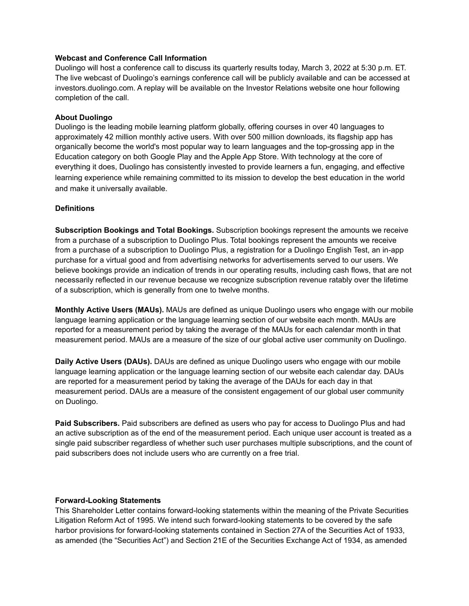#### **Webcast and Conference Call Information**

Duolingo will host a conference call to discuss its quarterly results today, March 3, 2022 at 5:30 p.m. ET. The live webcast of Duolingo's earnings conference call will be publicly available and can be accessed at investors.duolingo.com. A replay will be available on the Investor Relations website one hour following completion of the call.

### **About Duolingo**

Duolingo is the leading mobile learning platform globally, offering courses in over 40 languages to approximately 42 million monthly active users. With over 500 million downloads, its flagship app has organically become the world's most popular way to learn languages and the top-grossing app in the Education category on both Google Play and the Apple App Store. With technology at the core of everything it does, Duolingo has consistently invested to provide learners a fun, engaging, and effective learning experience while remaining committed to its mission to develop the best education in the world and make it universally available.

#### **Definitions**

**Subscription Bookings and Total Bookings.** Subscription bookings represent the amounts we receive from a purchase of a subscription to Duolingo Plus. Total bookings represent the amounts we receive from a purchase of a subscription to Duolingo Plus, a registration for a Duolingo English Test, an in-app purchase for a virtual good and from advertising networks for advertisements served to our users. We believe bookings provide an indication of trends in our operating results, including cash flows, that are not necessarily reflected in our revenue because we recognize subscription revenue ratably over the lifetime of a subscription, which is generally from one to twelve months.

**Monthly Active Users (MAUs).** MAUs are defined as unique Duolingo users who engage with our mobile language learning application or the language learning section of our website each month. MAUs are reported for a measurement period by taking the average of the MAUs for each calendar month in that measurement period. MAUs are a measure of the size of our global active user community on Duolingo.

**Daily Active Users (DAUs).** DAUs are defined as unique Duolingo users who engage with our mobile language learning application or the language learning section of our website each calendar day. DAUs are reported for a measurement period by taking the average of the DAUs for each day in that measurement period. DAUs are a measure of the consistent engagement of our global user community on Duolingo.

**Paid Subscribers.** Paid subscribers are defined as users who pay for access to Duolingo Plus and had an active subscription as of the end of the measurement period. Each unique user account is treated as a single paid subscriber regardless of whether such user purchases multiple subscriptions, and the count of paid subscribers does not include users who are currently on a free trial.

#### **Forward-Looking Statements**

This Shareholder Letter contains forward-looking statements within the meaning of the Private Securities Litigation Reform Act of 1995. We intend such forward-looking statements to be covered by the safe harbor provisions for forward-looking statements contained in Section 27A of the Securities Act of 1933, as amended (the "Securities Act") and Section 21E of the Securities Exchange Act of 1934, as amended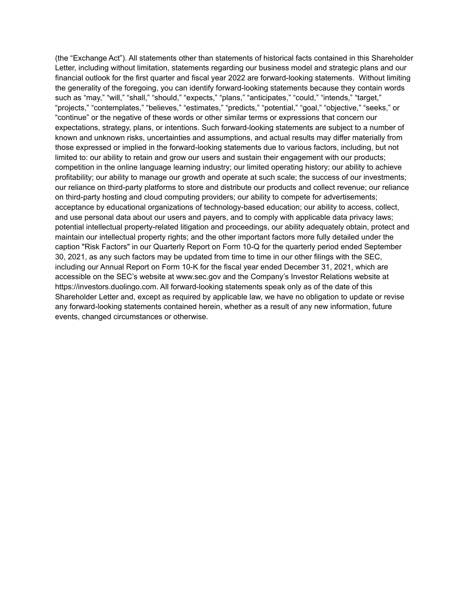(the "Exchange Act"). All statements other than statements of historical facts contained in this Shareholder Letter, including without limitation, statements regarding our business model and strategic plans and our financial outlook for the first quarter and fiscal year 2022 are forward-looking statements. Without limiting the generality of the foregoing, you can identify forward-looking statements because they contain words such as "may," "will," "shall," "should," "expects," "plans," "anticipates," "could," "intends," "target," "projects," "contemplates," "believes," "estimates," "predicts," "potential," "goal," "objective," "seeks," or "continue" or the negative of these words or other similar terms or expressions that concern our expectations, strategy, plans, or intentions. Such forward-looking statements are subject to a number of known and unknown risks, uncertainties and assumptions, and actual results may differ materially from those expressed or implied in the forward-looking statements due to various factors, including, but not limited to: our ability to retain and grow our users and sustain their engagement with our products; competition in the online language learning industry; our limited operating history; our ability to achieve profitability; our ability to manage our growth and operate at such scale; the success of our investments; our reliance on third-party platforms to store and distribute our products and collect revenue; our reliance on third-party hosting and cloud computing providers; our ability to compete for advertisements; acceptance by educational organizations of technology-based education; our ability to access, collect, and use personal data about our users and payers, and to comply with applicable data privacy laws; potential intellectual property-related litigation and proceedings, our ability adequately obtain, protect and maintain our intellectual property rights; and the other important factors more fully detailed under the caption "Risk Factors" in our Quarterly Report on Form 10-Q for the quarterly period ended September 30, 2021, as any such factors may be updated from time to time in our other filings with the SEC, including our Annual Report on Form 10-K for the fiscal year ended December 31, 2021, which are accessible on the SEC's website at www.sec.gov and the Company's Investor Relations website at https://investors.duolingo.com. All forward-looking statements speak only as of the date of this Shareholder Letter and, except as required by applicable law, we have no obligation to update or revise any forward-looking statements contained herein, whether as a result of any new information, future events, changed circumstances or otherwise.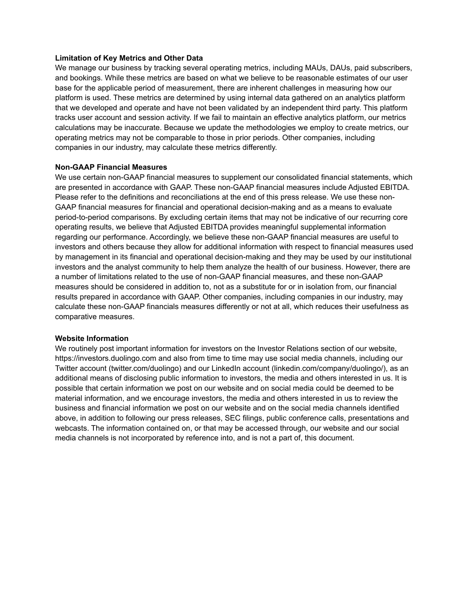#### **Limitation of Key Metrics and Other Data**

We manage our business by tracking several operating metrics, including MAUs, DAUs, paid subscribers, and bookings. While these metrics are based on what we believe to be reasonable estimates of our user base for the applicable period of measurement, there are inherent challenges in measuring how our platform is used. These metrics are determined by using internal data gathered on an analytics platform that we developed and operate and have not been validated by an independent third party. This platform tracks user account and session activity. If we fail to maintain an effective analytics platform, our metrics calculations may be inaccurate. Because we update the methodologies we employ to create metrics, our operating metrics may not be comparable to those in prior periods. Other companies, including companies in our industry, may calculate these metrics differently.

#### **Non-GAAP Financial Measures**

We use certain non-GAAP financial measures to supplement our consolidated financial statements, which are presented in accordance with GAAP. These non-GAAP financial measures include Adjusted EBITDA. Please refer to the definitions and reconciliations at the end of this press release. We use these non-GAAP financial measures for financial and operational decision-making and as a means to evaluate period-to-period comparisons. By excluding certain items that may not be indicative of our recurring core operating results, we believe that Adjusted EBITDA provides meaningful supplemental information regarding our performance. Accordingly, we believe these non-GAAP financial measures are useful to investors and others because they allow for additional information with respect to financial measures used by management in its financial and operational decision-making and they may be used by our institutional investors and the analyst community to help them analyze the health of our business. However, there are a number of limitations related to the use of non-GAAP financial measures, and these non-GAAP measures should be considered in addition to, not as a substitute for or in isolation from, our financial results prepared in accordance with GAAP. Other companies, including companies in our industry, may calculate these non-GAAP financials measures differently or not at all, which reduces their usefulness as comparative measures.

#### **Website Information**

We routinely post important information for investors on the Investor Relations section of our website, https://investors.duolingo.com and also from time to time may use social media channels, including our Twitter account (twitter.com/duolingo) and our LinkedIn account (linkedin.com/company/duolingo/), as an additional means of disclosing public information to investors, the media and others interested in us. It is possible that certain information we post on our website and on social media could be deemed to be material information, and we encourage investors, the media and others interested in us to review the business and financial information we post on our website and on the social media channels identified above, in addition to following our press releases, SEC filings, public conference calls, presentations and webcasts. The information contained on, or that may be accessed through, our website and our social media channels is not incorporated by reference into, and is not a part of, this document.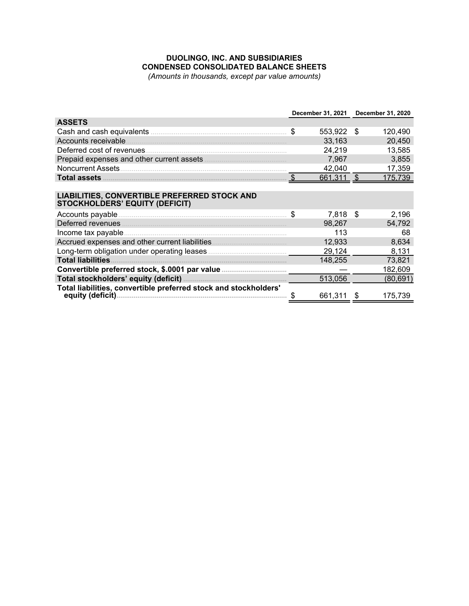# **DUOLINGO, INC. AND SUBSIDIARIES CONDENSED CONSOLIDATED BALANCE SHEETS**

*(Amounts in thousands, except par value amounts)* 

|                                                                                                         | December 31, 2021 December 31, 2020 |              |      |           |  |
|---------------------------------------------------------------------------------------------------------|-------------------------------------|--------------|------|-----------|--|
| <b>ASSETS</b>                                                                                           |                                     |              |      |           |  |
|                                                                                                         | \$                                  | 553,922      | - \$ | 120,490   |  |
|                                                                                                         |                                     | 33,163       |      | 20,450    |  |
|                                                                                                         |                                     | 24,219       |      | 13,585    |  |
| Prepaid expenses and other current assets <b>manually and prepaid expenses</b> and other current assets |                                     | 7,967        |      | 3,855     |  |
|                                                                                                         |                                     | 42,040       |      | 17,359    |  |
|                                                                                                         |                                     | $661,311$ \$ |      | 175,739   |  |
|                                                                                                         |                                     |              |      |           |  |
| <b>LIABILITIES, CONVERTIBLE PREFERRED STOCK AND</b><br><b>STOCKHOLDERS' EQUITY (DEFICIT)</b>            |                                     |              |      |           |  |
|                                                                                                         |                                     | 7,818        | \$   | 2,196     |  |
| Deferred revenues                                                                                       |                                     | 98,267       |      | 54,792    |  |
| Income tax payable                                                                                      |                                     | 113          |      | 68        |  |
|                                                                                                         |                                     | 12,933       |      | 8,634     |  |
|                                                                                                         |                                     | 29,124       |      | 8,131     |  |
|                                                                                                         |                                     | 148,255      |      | 73,821    |  |
|                                                                                                         |                                     |              |      | 182,609   |  |
|                                                                                                         |                                     | 513,056      |      | (80, 691) |  |
| Total liabilities, convertible preferred stock and stockholders'                                        |                                     | 661,311      | -S   | 175,739   |  |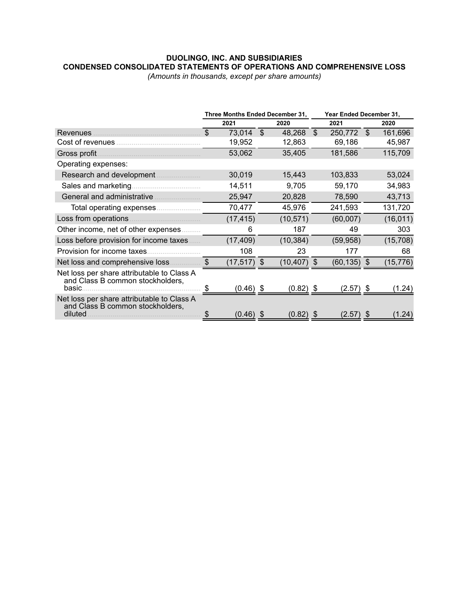# **DUOLINGO, INC. AND SUBSIDIARIES CONDENSED CONSOLIDATED STATEMENTS OF OPERATIONS AND COMPREHENSIVE LOSS**

*(Amounts in thousands, except per share amounts)*

|                                                                                           | Three Months Ended December 31, |             |              | Year Ended December 31, |                |             |              |           |
|-------------------------------------------------------------------------------------------|---------------------------------|-------------|--------------|-------------------------|----------------|-------------|--------------|-----------|
|                                                                                           |                                 | 2021        |              | 2020                    |                | 2021        |              | 2020      |
| <b>Revenues</b>                                                                           | \$                              | 73,014      | $\mathbb{S}$ | 48,268                  | $\mathfrak{S}$ | 250,772     | $\mathbb{S}$ | 161,696   |
| Cost of revenues                                                                          |                                 | 19,952      |              | 12,863                  |                | 69,186      |              | 45,987    |
| Gross profit.                                                                             |                                 | 53,062      |              | 35,405                  |                | 181,586     |              | 115,709   |
| Operating expenses:                                                                       |                                 |             |              |                         |                |             |              |           |
| Research and development                                                                  |                                 | 30,019      |              | 15,443                  |                | 103,833     |              | 53,024    |
|                                                                                           |                                 | 14,511      |              | 9,705                   |                | 59,170      |              | 34,983    |
| General and administrative                                                                |                                 | 25,947      |              | 20,828                  |                | 78,590      |              | 43,713    |
|                                                                                           |                                 | 70,477      |              | 45,976                  |                | 241,593     |              | 131,720   |
|                                                                                           |                                 | (17, 415)   |              | (10, 571)               |                | (60,007)    |              | (16, 011) |
| Other income, net of other expenses                                                       |                                 | 6           |              | 187                     |                | 49          |              | 303       |
| Loss before provision for income taxes                                                    |                                 | (17, 409)   |              | (10, 384)               |                | (59, 958)   |              | (15, 708) |
| Provision for income taxes.                                                               |                                 | 108         |              | 23                      |                | 177         |              | 68        |
| Net loss and comprehensive loss                                                           | $\boldsymbol{\mathsf{S}}$       | (17,517) \$ |              | (10, 407)               | \$             | (60, 135)   | \$           | (15, 776) |
| Net loss per share attributable to Class A<br>and Class B common stockholders,<br>basic.  |                                 |             |              |                         |                |             |              |           |
|                                                                                           | \$                              | $(0.46)$ \$ |              | $(0.82)$ \$             |                | (2.57) \$   |              | (1.24)    |
| Net loss per share attributable to Class A<br>and Class B common stockholders,<br>diluted |                                 | $(0.46)$ \$ |              | $(0.82)$ \$             |                | $(2.57)$ \$ |              | (1.24)    |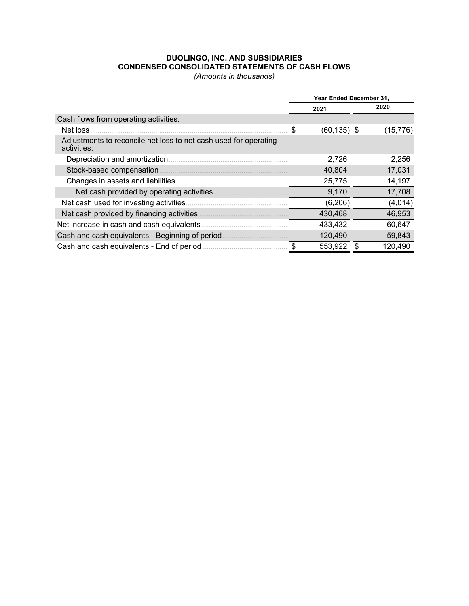### **DUOLINGO, INC. AND SUBSIDIARIES CONDENSED CONSOLIDATED STATEMENTS OF CASH FLOWS**

*(Amounts in thousands)*

|                                                                                 | Year Ended December 31, |                |  |           |  |  |
|---------------------------------------------------------------------------------|-------------------------|----------------|--|-----------|--|--|
|                                                                                 |                         | 2021           |  | 2020      |  |  |
| Cash flows from operating activities:                                           |                         |                |  |           |  |  |
| Net loss                                                                        | \$                      | $(60, 135)$ \$ |  | (15, 776) |  |  |
| Adjustments to reconcile net loss to net cash used for operating<br>activities: |                         |                |  |           |  |  |
| Depreciation and amortization                                                   |                         | 2,726          |  | 2,256     |  |  |
| Stock-based compensation                                                        |                         | 40,804         |  | 17,031    |  |  |
| Changes in assets and liabilities                                               |                         | 25,775         |  | 14,197    |  |  |
| Net cash provided by operating activities                                       |                         | 9,170          |  | 17,708    |  |  |
| Net cash used for investing activities.                                         |                         | (6, 206)       |  | (4,014)   |  |  |
| Net cash provided by financing activities                                       |                         | 430,468        |  | 46,953    |  |  |
| Net increase in cash and cash equivalents                                       |                         | 433,432        |  | 60,647    |  |  |
| Cash and cash equivalents - Beginning of period                                 |                         | 120,490        |  | 59,843    |  |  |
| Cash and cash equivalents - End of period                                       |                         | 553,922        |  | 120,490   |  |  |